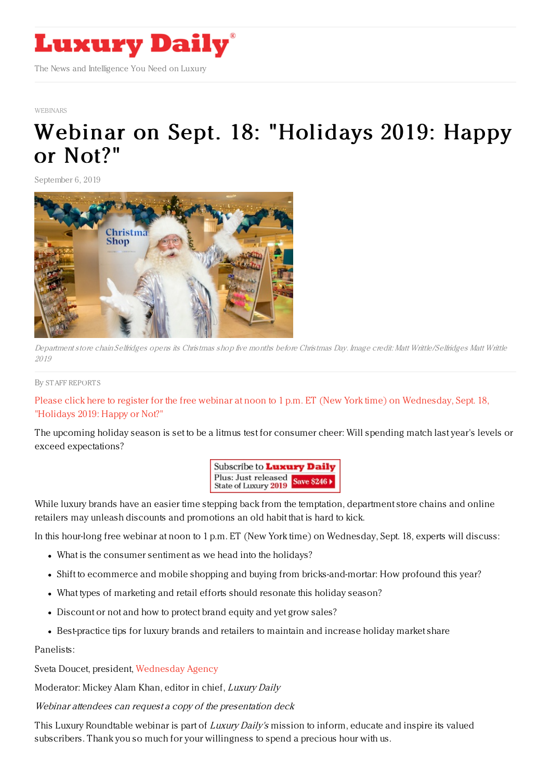

## [WEBINARS](https://www.luxurydaily.com/category/resources/webinars)

## Webinar on Sept. 18: ["Holidays](https://www.luxurydaily.com/webinar-on-sept-18-holidays-2019-happy-or-not-11/) 2019: Happy or Not?"

September 6, 2019



Department store chain Selfridges opens its Christmas shop five months before Christmas Day. Image credit: Matt Writtle/Selfridges Matt Writtle 2019

## By STAFF [REPORT](file:///author/staff-reports) S

Please click here to register for the free webinar at noon to 1 p.m. ET (New York time) on [Wednesday,](https://register.gotowebinar.com/register/3705025832518950659) Sept. 18, "Holidays 2019: Happy or Not?"

The upcoming holiday season is set to be a litmus test for consumer cheer: Will spending match last year's levels or exceed expectations?



While luxury brands have an easier time stepping back from the temptation, department store chains and online retailers may unleash discounts and promotions an old habit that is hard to kick.

In this hour-long free webinar at noon to 1 p.m. ET (New York time) on Wednesday, Sept. 18, experts will discuss:

- What is the consumer sentiment as we head into the holidays?
- Shift to ecommerce and mobile shopping and buying from bricks-and-mortar: How profound this year?
- What types of marketing and retail efforts should resonate this holiday season?
- Discount or not and how to protect brand equity and yet grow sales?
- Best-practice tips for luxury brands and retailers to maintain and increase holiday market share

Panelists:

Sveta Doucet, president, [Wednesday](http://www.wednesdayagency.com) Agency

Moderator: Mickey Alam Khan, editor in chief, Luxury Daily

Webinar attendees can request a copy of the presentation deck

This Luxury Roundtable webinar is part of Luxury Daily's mission to inform, educate and inspire its valued subscribers. Thank you so much for your willingness to spend a precious hour with us.